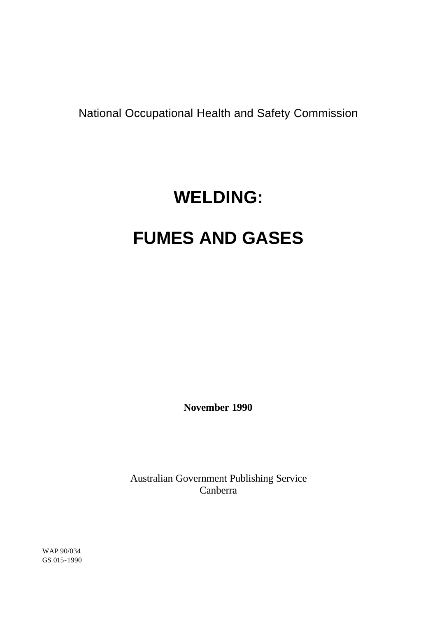National Occupational Health and Safety Commission

# **WELDING:**

# **FUMES AND GASES**

**November 1990**

Australian Government Publishing Service Canberra

WAP 90/034 GS 015-1990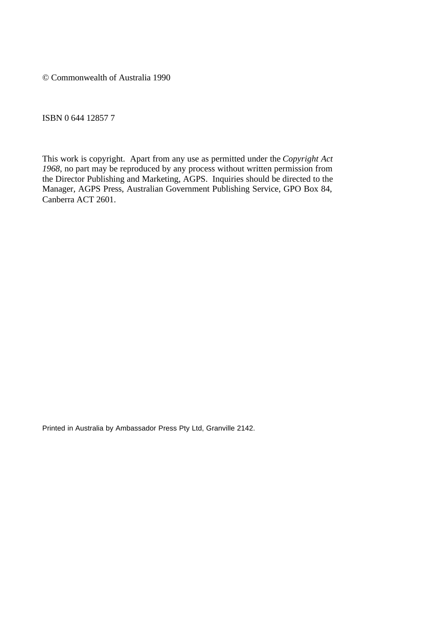© Commonwealth of Australia 1990

ISBN 0 644 12857 7

This work is copyright. Apart from any use as permitted under the *Copyright Act 1968*, no part may be reproduced by any process without written permission from the Director Publishing and Marketing, AGPS. Inquiries should be directed to the Manager, AGPS Press, Australian Government Publishing Service, GPO Box 84, Canberra ACT 2601.

Printed in Australia by Ambassador Press Pty Ltd, Granville 2142.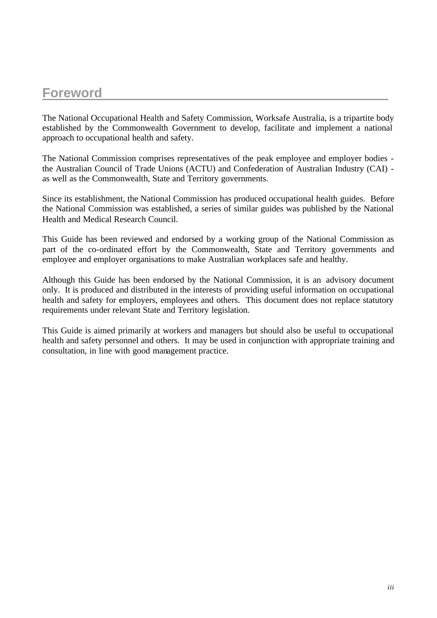# **Foreword**\_\_\_\_\_\_\_\_\_\_\_\_\_\_\_\_\_\_\_\_\_\_\_\_\_\_\_\_\_\_\_\_\_\_\_\_\_\_\_

The National Occupational Health and Safety Commission, Worksafe Australia, is a tripartite body established by the Commonwealth Government to develop, facilitate and implement a national approach to occupational health and safety.

The National Commission comprises representatives of the peak employee and employer bodies the Australian Council of Trade Unions (ACTU) and Confederation of Australian Industry (CAI) as well as the Commonwealth, State and Territory governments.

Since its establishment, the National Commission has produced occupational health guides. Before the National Commission was established, a series of similar guides was published by the National Health and Medical Research Council.

This Guide has been reviewed and endorsed by a working group of the National Commission as part of the co-ordinated effort by the Commonwealth, State and Territory governments and employee and employer organisations to make Australian workplaces safe and healthy.

Although this Guide has been endorsed by the National Commission, it is an advisory document only. It is produced and distributed in the interests of providing useful information on occupational health and safety for employers, employees and others. This document does not replace statutory requirements under relevant State and Territory legislation.

This Guide is aimed primarily at workers and managers but should also be useful to occupational health and safety personnel and others. It may be used in conjunction with appropriate training and consultation, in line with good management practice.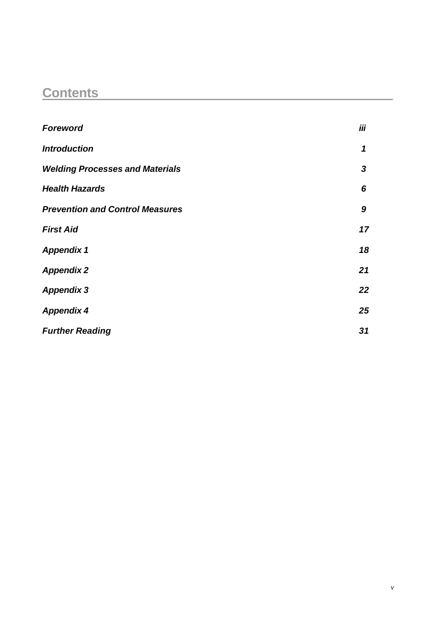# **Contents**\_\_\_\_\_\_\_\_\_\_\_\_\_\_\_\_\_\_\_\_\_\_\_\_\_\_\_\_\_\_\_\_\_\_\_\_\_\_\_\_

| <b>Foreword</b>                        | iii |
|----------------------------------------|-----|
| <b>Introduction</b>                    | 1   |
| <b>Welding Processes and Materials</b> | 3   |
| <b>Health Hazards</b>                  | 6   |
| <b>Prevention and Control Measures</b> | 9   |
| <b>First Aid</b>                       | 17  |
| <b>Appendix 1</b>                      | 18  |
| <b>Appendix 2</b>                      | 21  |
| <b>Appendix 3</b>                      | 22  |
| <b>Appendix 4</b>                      | 25  |
| <b>Further Reading</b>                 | 31  |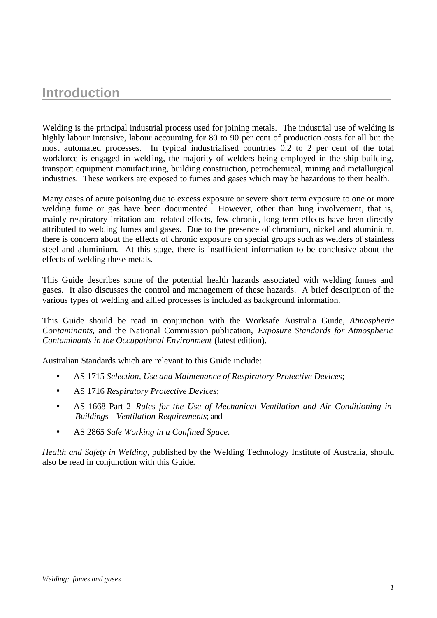# **Introduction**

Welding is the principal industrial process used for joining metals. The industrial use of welding is highly labour intensive, labour accounting for 80 to 90 per cent of production costs for all but the most automated processes. In typical industrialised countries 0.2 to 2 per cent of the total workforce is engaged in welding, the majority of welders being employed in the ship building, transport equipment manufacturing, building construction, petrochemical, mining and metallurgical industries. These workers are exposed to fumes and gases which may be hazardous to their health.

Many cases of acute poisoning due to excess exposure or severe short term exposure to one or more welding fume or gas have been documented. However, other than lung involvement, that is, mainly respiratory irritation and related effects, few chronic, long term effects have been directly attributed to welding fumes and gases. Due to the presence of chromium, nickel and aluminium, there is concern about the effects of chronic exposure on special groups such as welders of stainless steel and aluminium. At this stage, there is insufficient information to be conclusive about the effects of welding these metals.

This Guide describes some of the potential health hazards associated with welding fumes and gases. It also discusses the control and management of these hazards. A brief description of the various types of welding and allied processes is included as background information.

This Guide should be read in conjunction with the Worksafe Australia Guide, *Atmospheric Contaminants*, and the National Commission publication, *Exposure Standards for Atmospheric Contaminants in the Occupational Environment* (latest edition).

Australian Standards which are relevant to this Guide include:

- AS 1715 *Selection, Use and Maintenance of Respiratory Protective Devices*;
- AS 1716 *Respiratory Protective Devices*;
- AS 1668 Part 2 *Rules for the Use of Mechanical Ventilation and Air Conditioning in Buildings - Ventilation Requirements*; and
- AS 2865 *Safe Working in a Confined Space*.

*Health and Safety in Welding*, published by the Welding Technology Institute of Australia, should also be read in conjunction with this Guide.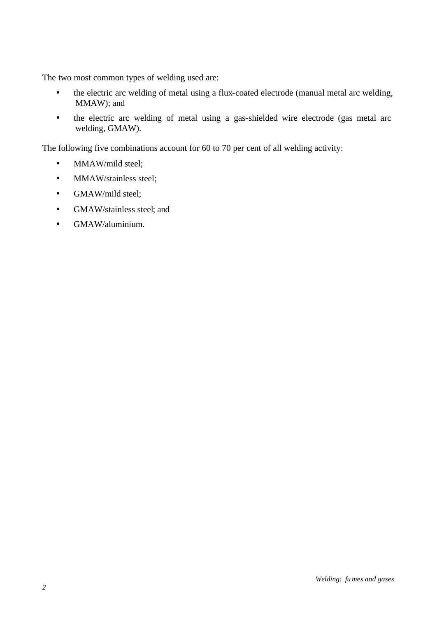The two most common types of welding used are:

- the electric arc welding of metal using a flux-coated electrode (manual metal arc welding, MMAW); and
- the electric arc welding of metal using a gas-shielded wire electrode (gas metal arc welding, GMAW).

The following five combinations account for 60 to 70 per cent of all welding activity:

- MMAW/mild steel;
- MMAW/stainless steel;
- GMAW/mild steel;
- GMAW/stainless steel; and
- GMAW/aluminium.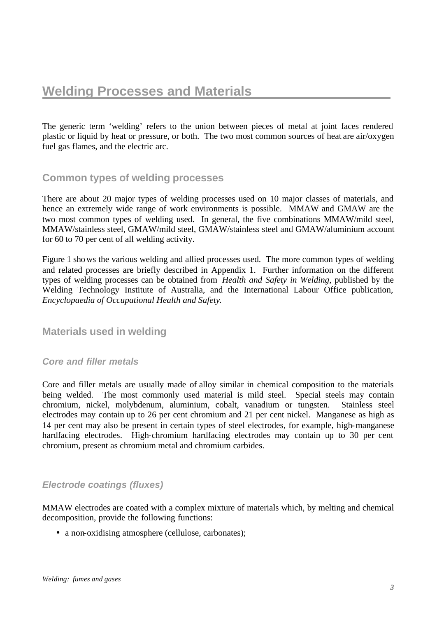The generic term 'welding' refers to the union between pieces of metal at joint faces rendered plastic or liquid by heat or pressure, or both. The two most common sources of heat are air/oxygen fuel gas flames, and the electric arc.

### **Common types of welding processes**

There are about 20 major types of welding processes used on 10 major classes of materials, and hence an extremely wide range of work environments is possible. MMAW and GMAW are the two most common types of welding used. In general, the five combinations MMAW/mild steel, MMAW/stainless steel, GMAW/mild steel, GMAW/stainless steel and GMAW/aluminium account for 60 to 70 per cent of all welding activity.

Figure 1 shows the various welding and allied processes used. The more common types of welding and related processes are briefly described in Appendix 1. Further information on the different types of welding processes can be obtained from *Health and Safety in Welding*, published by the Welding Technology Institute of Australia, and the International Labour Office publication, *Encyclopaedia of Occupational Health and Safety*.

### **Materials used in welding**

#### *Core and filler metals*

Core and filler metals are usually made of alloy similar in chemical composition to the materials being welded. The most commonly used material is mild steel. Special steels may contain chromium, nickel, molybdenum, aluminium, cobalt, vanadium or tungsten. Stainless steel electrodes may contain up to 26 per cent chromium and 21 per cent nickel. Manganese as high as 14 per cent may also be present in certain types of steel electrodes, for example, high-manganese hardfacing electrodes. High-chromium hardfacing electrodes may contain up to 30 per cent chromium, present as chromium metal and chromium carbides.

### *Electrode coatings (fluxes)*

MMAW electrodes are coated with a complex mixture of materials which, by melting and chemical decomposition, provide the following functions:

• a non-oxidising atmosphere (cellulose, carbonates);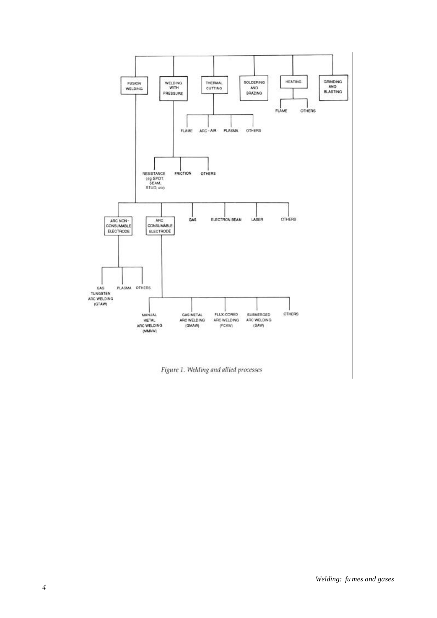

Figure 1. Welding and allied processes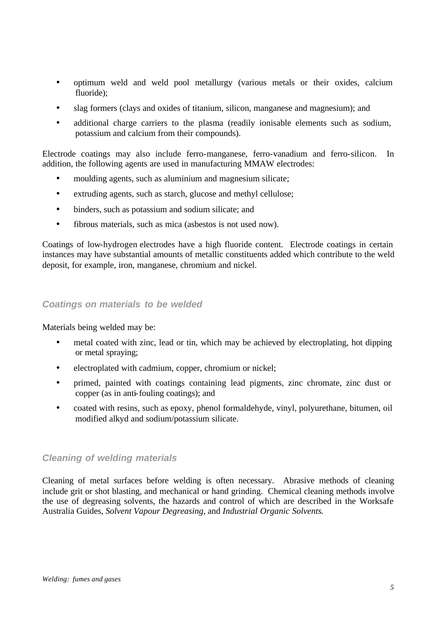- optimum weld and weld pool metallurgy (various metals or their oxides, calcium fluoride);
- slag formers (clays and oxides of titanium, silicon, manganese and magnesium); and
- additional charge carriers to the plasma (readily ionisable elements such as sodium, potassium and calcium from their compounds).

Electrode coatings may also include ferro-manganese, ferro-vanadium and ferro-silicon. In addition, the following agents are used in manufacturing MMAW electrodes:

- moulding agents, such as aluminium and magnesium silicate;
- extruding agents, such as starch, glucose and methyl cellulose;
- binders, such as potassium and sodium silicate; and
- fibrous materials, such as mica (asbestos is not used now).

Coatings of low-hydrogen electrodes have a high fluoride content. Electrode coatings in certain instances may have substantial amounts of metallic constituents added which contribute to the weld deposit, for example, iron, manganese, chromium and nickel.

#### *Coatings on materials to be welded*

Materials being welded may be:

- metal coated with zinc, lead or tin, which may be achieved by electroplating, hot dipping or metal spraying;
- electroplated with cadmium, copper, chromium or nickel;
- primed, painted with coatings containing lead pigments, zinc chromate, zinc dust or copper (as in anti-fouling coatings); and
- coated with resins, such as epoxy, phenol formaldehyde, vinyl, polyurethane, bitumen, oil modified alkyd and sodium/potassium silicate.

#### *Cleaning of welding materials*

Cleaning of metal surfaces before welding is often necessary. Abrasive methods of cleaning include grit or shot blasting, and mechanical or hand grinding. Chemical cleaning methods involve the use of degreasing solvents, the hazards and control of which are described in the Worksafe Australia Guides, *Solvent Vapour Degreasing*, and *Industrial Organic Solvents*.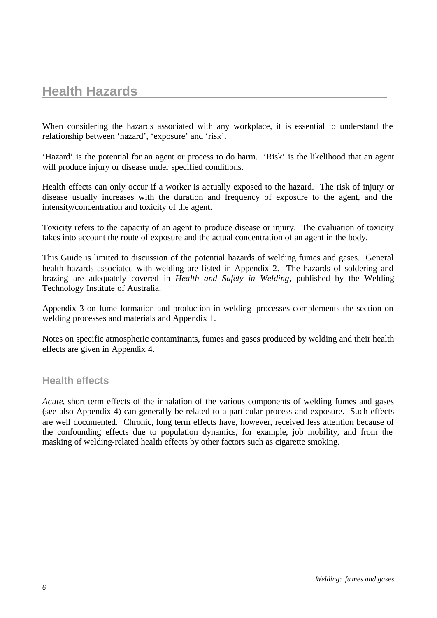# **Health Hazards**

When considering the hazards associated with any workplace, it is essential to understand the relationship between 'hazard', 'exposure' and 'risk'.

'Hazard' is the potential for an agent or process to do harm. 'Risk' is the likelihood that an agent will produce injury or disease under specified conditions.

Health effects can only occur if a worker is actually exposed to the hazard. The risk of injury or disease usually increases with the duration and frequency of exposure to the agent, and the intensity/concentration and toxicity of the agent.

Toxicity refers to the capacity of an agent to produce disease or injury. The evaluation of toxicity takes into account the route of exposure and the actual concentration of an agent in the body.

This Guide is limited to discussion of the potential hazards of welding fumes and gases. General health hazards associated with welding are listed in Appendix 2. The hazards of soldering and brazing are adequately covered in *Health and Safety in Welding*, published by the Welding Technology Institute of Australia.

Appendix 3 on fume formation and production in welding processes complements the section on welding processes and materials and Appendix 1.

Notes on specific atmospheric contaminants, fumes and gases produced by welding and their health effects are given in Appendix 4.

#### **Health effects**

*Acute*, short term effects of the inhalation of the various components of welding fumes and gases (see also Appendix 4) can generally be related to a particular process and exposure. Such effects are well documented. Chronic, long term effects have, however, received less attention because of the confounding effects due to population dynamics, for example, job mobility, and from the masking of welding-related health effects by other factors such as cigarette smoking.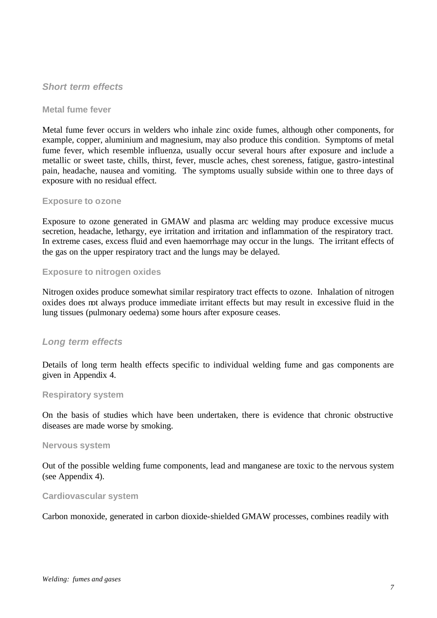#### *Short term effects*

#### **Metal fume fever**

Metal fume fever occurs in welders who inhale zinc oxide fumes, although other components, for example, copper, aluminium and magnesium, may also produce this condition. Symptoms of metal fume fever, which resemble influenza, usually occur several hours after exposure and include a metallic or sweet taste, chills, thirst, fever, muscle aches, chest soreness, fatigue, gastro-intestinal pain, headache, nausea and vomiting. The symptoms usually subside within one to three days of exposure with no residual effect.

#### **Exposure to ozone**

Exposure to ozone generated in GMAW and plasma arc welding may produce excessive mucus secretion, headache, lethargy, eye irritation and irritation and inflammation of the respiratory tract. In extreme cases, excess fluid and even haemorrhage may occur in the lungs. The irritant effects of the gas on the upper respiratory tract and the lungs may be delayed.

#### **Exposure to nitrogen oxides**

Nitrogen oxides produce somewhat similar respiratory tract effects to ozone. Inhalation of nitrogen oxides does not always produce immediate irritant effects but may result in excessive fluid in the lung tissues (pulmonary oedema) some hours after exposure ceases.

#### *Long term effects*

Details of long term health effects specific to individual welding fume and gas components are given in Appendix 4.

#### **Respiratory system**

On the basis of studies which have been undertaken, there is evidence that chronic obstructive diseases are made worse by smoking.

#### **Nervous system**

Out of the possible welding fume components, lead and manganese are toxic to the nervous system (see Appendix 4).

#### **Cardiovascular system**

Carbon monoxide, generated in carbon dioxide-shielded GMAW processes, combines readily with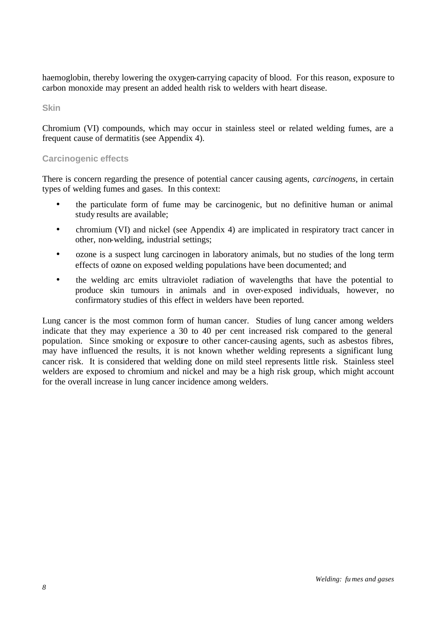haemoglobin, thereby lowering the oxygen-carrying capacity of blood. For this reason, exposure to carbon monoxide may present an added health risk to welders with heart disease.

**Skin**

Chromium (VI) compounds, which may occur in stainless steel or related welding fumes, are a frequent cause of dermatitis (see Appendix 4).

#### **Carcinogenic effects**

There is concern regarding the presence of potential cancer causing agents, *carcinogens*, in certain types of welding fumes and gases. In this context:

- the particulate form of fume may be carcinogenic, but no definitive human or animal study results are available;
- chromium (VI) and nickel (see Appendix 4) are implicated in respiratory tract cancer in other, non-welding, industrial settings;
- ozone is a suspect lung carcinogen in laboratory animals, but no studies of the long term effects of ozone on exposed welding populations have been documented; and
- the welding arc emits ultraviolet radiation of wavelengths that have the potential to produce skin tumours in animals and in over-exposed individuals, however, no confirmatory studies of this effect in welders have been reported.

Lung cancer is the most common form of human cancer. Studies of lung cancer among welders indicate that they may experience a 30 to 40 per cent increased risk compared to the general population. Since smoking or exposure to other cancer-causing agents, such as asbestos fibres, may have influenced the results, it is not known whether welding represents a significant lung cancer risk. It is considered that welding done on mild steel represents little risk. Stainless steel welders are exposed to chromium and nickel and may be a high risk group, which might account for the overall increase in lung cancer incidence among welders.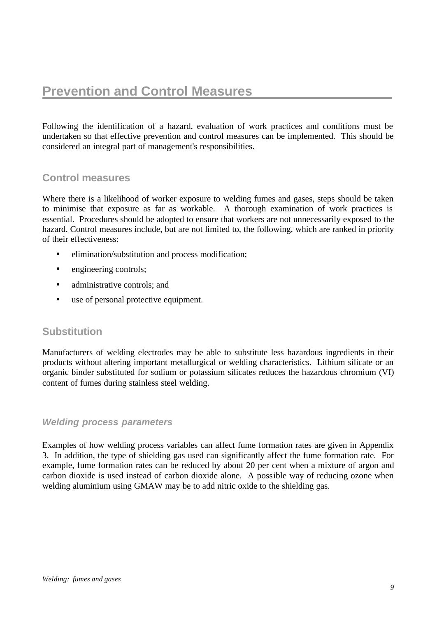Following the identification of a hazard, evaluation of work practices and conditions must be undertaken so that effective prevention and control measures can be implemented. This should be considered an integral part of management's responsibilities.

# **Control measures**

Where there is a likelihood of worker exposure to welding fumes and gases, steps should be taken to minimise that exposure as far as workable. A thorough examination of work practices is essential. Procedures should be adopted to ensure that workers are not unnecessarily exposed to the hazard. Control measures include, but are not limited to, the following, which are ranked in priority of their effectiveness:

- elimination/substitution and process modification;
- engineering controls;
- administrative controls; and
- use of personal protective equipment.

### **Substitution**

Manufacturers of welding electrodes may be able to substitute less hazardous ingredients in their products without altering important metallurgical or welding characteristics. Lithium silicate or an organic binder substituted for sodium or potassium silicates reduces the hazardous chromium (VI) content of fumes during stainless steel welding.

#### *Welding process parameters*

Examples of how welding process variables can affect fume formation rates are given in Appendix 3. In addition, the type of shielding gas used can significantly affect the fume formation rate. For example, fume formation rates can be reduced by about 20 per cent when a mixture of argon and carbon dioxide is used instead of carbon dioxide alone. A possible way of reducing ozone when welding aluminium using GMAW may be to add nitric oxide to the shielding gas.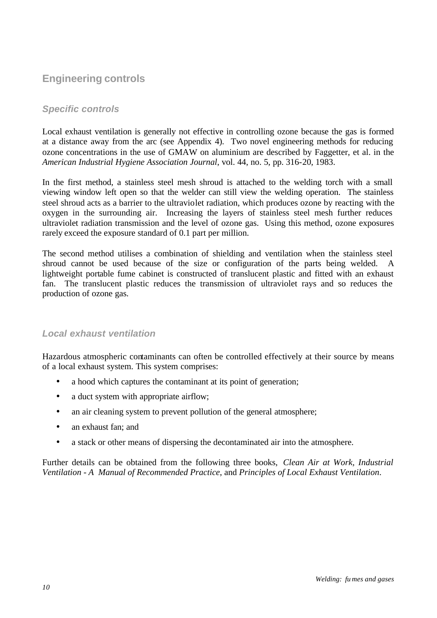# **Engineering controls**

### *Specific controls*

Local exhaust ventilation is generally not effective in controlling ozone because the gas is formed at a distance away from the arc (see Appendix 4). Two novel engineering methods for reducing ozone concentrations in the use of GMAW on aluminium are described by Faggetter, et al. in the *American Industrial Hygiene Association Journal*, vol. 44, no. 5, pp. 316-20, 1983.

In the first method, a stainless steel mesh shroud is attached to the welding torch with a small viewing window left open so that the welder can still view the welding operation. The stainless steel shroud acts as a barrier to the ultraviolet radiation, which produces ozone by reacting with the oxygen in the surrounding air. Increasing the layers of stainless steel mesh further reduces ultraviolet radiation transmission and the level of ozone gas. Using this method, ozone exposures rarely exceed the exposure standard of 0.1 part per million.

The second method utilises a combination of shielding and ventilation when the stainless steel shroud cannot be used because of the size or configuration of the parts being welded. lightweight portable fume cabinet is constructed of translucent plastic and fitted with an exhaust fan. The translucent plastic reduces the transmission of ultraviolet rays and so reduces the production of ozone gas.

### *Local exhaust ventilation*

Hazardous atmospheric contaminants can often be controlled effectively at their source by means of a local exhaust system. This system comprises:

- a hood which captures the contaminant at its point of generation;
- a duct system with appropriate airflow;
- an air cleaning system to prevent pollution of the general atmosphere;
- an exhaust fan; and
- a stack or other means of dispersing the decontaminated air into the atmosphere.

Further details can be obtained from the following three books, *Clean Air at Work, Industrial Ventilation - A Manual of Recommended Practice*, and *Principles of Local Exhaust Ventilation*.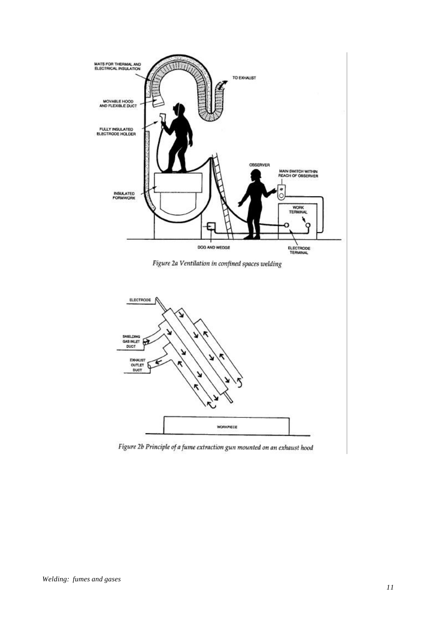

Figure 2b Principle of a fume extraction gun mounted on an exhaust hood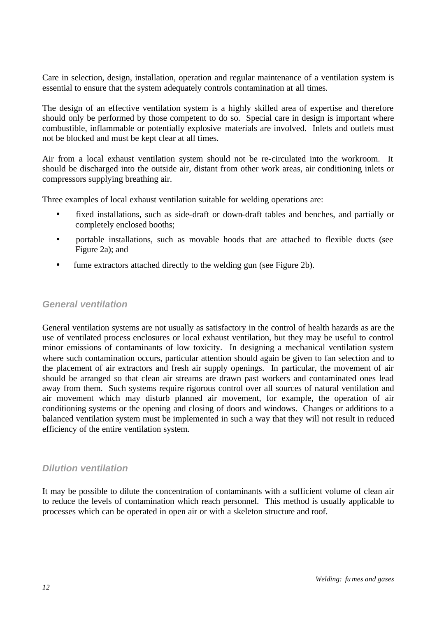Care in selection, design, installation, operation and regular maintenance of a ventilation system is essential to ensure that the system adequately controls contamination at all times.

The design of an effective ventilation system is a highly skilled area of expertise and therefore should only be performed by those competent to do so. Special care in design is important where combustible, inflammable or potentially explosive materials are involved. Inlets and outlets must not be blocked and must be kept clear at all times.

Air from a local exhaust ventilation system should not be re-circulated into the workroom. It should be discharged into the outside air, distant from other work areas, air conditioning inlets or compressors supplying breathing air.

Three examples of local exhaust ventilation suitable for welding operations are:

- fixed installations, such as side-draft or down-draft tables and benches, and partially or completely enclosed booths;
- portable installations, such as movable hoods that are attached to flexible ducts (see Figure 2a); and
- fume extractors attached directly to the welding gun (see Figure 2b).

#### *General ventilation*

General ventilation systems are not usually as satisfactory in the control of health hazards as are the use of ventilated process enclosures or local exhaust ventilation, but they may be useful to control minor emissions of contaminants of low toxicity. In designing a mechanical ventilation system where such contamination occurs, particular attention should again be given to fan selection and to the placement of air extractors and fresh air supply openings. In particular, the movement of air should be arranged so that clean air streams are drawn past workers and contaminated ones lead away from them. Such systems require rigorous control over all sources of natural ventilation and air movement which may disturb planned air movement, for example, the operation of air conditioning systems or the opening and closing of doors and windows. Changes or additions to a balanced ventilation system must be implemented in such a way that they will not result in reduced efficiency of the entire ventilation system.

#### *Dilution ventilation*

It may be possible to dilute the concentration of contaminants with a sufficient volume of clean air to reduce the levels of contamination which reach personnel. This method is usually applicable to processes which can be operated in open air or with a skeleton structure and roof.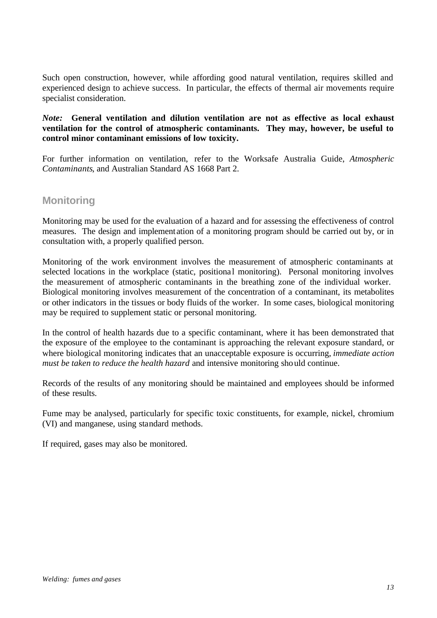Such open construction, however, while affording good natural ventilation, requires skilled and experienced design to achieve success. In particular, the effects of thermal air movements require specialist consideration.

#### *Note:* **General ventilation and dilution ventilation are not as effective as local exhaust ventilation for the control of atmospheric contaminants. They may, however, be useful to control minor contaminant emissions of low toxicity.**

For further information on ventilation, refer to the Worksafe Australia Guide, *Atmospheric Contaminants*, and Australian Standard AS 1668 Part 2.

### **Monitoring**

Monitoring may be used for the evaluation of a hazard and for assessing the effectiveness of control measures. The design and implement ation of a monitoring program should be carried out by, or in consultation with, a properly qualified person.

Monitoring of the work environment involves the measurement of atmospheric contaminants at selected locations in the workplace (static, positional monitoring). Personal monitoring involves the measurement of atmospheric contaminants in the breathing zone of the individual worker. Biological monitoring involves measurement of the concentration of a contaminant, its metabolites or other indicators in the tissues or body fluids of the worker. In some cases, biological monitoring may be required to supplement static or personal monitoring.

In the control of health hazards due to a specific contaminant, where it has been demonstrated that the exposure of the employee to the contaminant is approaching the relevant exposure standard, or where biological monitoring indicates that an unacceptable exposure is occurring, *immediate action must be taken to reduce the health hazard* and intensive monitoring should continue.

Records of the results of any monitoring should be maintained and employees should be informed of these results.

Fume may be analysed, particularly for specific toxic constituents, for example, nickel, chromium (VI) and manganese, using standard methods.

If required, gases may also be monitored.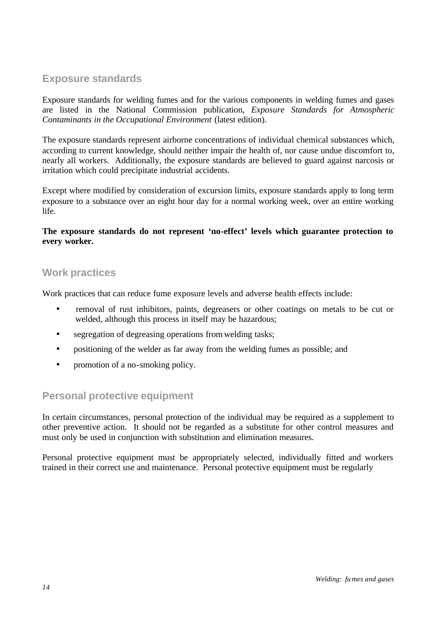# **Exposure standards**

Exposure standards for welding fumes and for the various components in welding fumes and gases are listed in the National Commission publication, *Exposure Standards for Atmospheric Contaminants in the Occupational Environment* (latest edition).

The exposure standards represent airborne concentrations of individual chemical substances which, according to current knowledge, should neither impair the health of, nor cause undue discomfort to, nearly all workers. Additionally, the exposure standards are believed to guard against narcosis or irritation which could precipitate industrial accidents.

Except where modified by consideration of excursion limits, exposure standards apply to long term exposure to a substance over an eight hour day for a normal working week, over an entire working life.

#### **The exposure standards do not represent 'no-effect' levels which guarantee protection to every worker.**

### **Work practices**

Work practices that can reduce fume exposure levels and adverse health effects include:

- removal of rust inhibitors, paints, degreasers or other coatings on metals to be cut or welded, although this process in itself may be hazardous;
- segregation of degreasing operations from welding tasks;
- positioning of the welder as far away from the welding fumes as possible; and
- promotion of a no-smoking policy.

# **Personal protective equipment**

In certain circumstances, personal protection of the individual may be required as a supplement to other preventive action. It should not be regarded as a substitute for other control measures and must only be used in conjunction with substitution and elimination measures.

Personal protective equipment must be appropriately selected, individually fitted and workers trained in their correct use and maintenance. Personal protective equipment must be regularly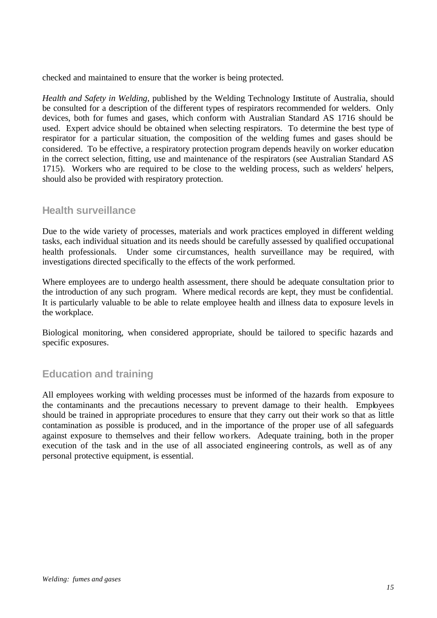checked and maintained to ensure that the worker is being protected.

*Health and Safety in Welding*, published by the Welding Technology Institute of Australia, should be consulted for a description of the different types of respirators recommended for welders. Only devices, both for fumes and gases, which conform with Australian Standard AS 1716 should be used. Expert advice should be obtained when selecting respirators. To determine the best type of respirator for a particular situation, the composition of the welding fumes and gases should be considered. To be effective, a respiratory protection program depends heavily on worker education in the correct selection, fitting, use and maintenance of the respirators (see Australian Standard AS 1715). Workers who are required to be close to the welding process, such as welders' helpers, should also be provided with respiratory protection.

### **Health surveillance**

Due to the wide variety of processes, materials and work practices employed in different welding tasks, each individual situation and its needs should be carefully assessed by qualified occupational health professionals. Under some circumstances, health surveillance may be required, with investigations directed specifically to the effects of the work performed.

Where employees are to undergo health assessment, there should be adequate consultation prior to the introduction of any such program. Where medical records are kept, they must be confidential. It is particularly valuable to be able to relate employee health and illness data to exposure levels in the workplace.

Biological monitoring, when considered appropriate, should be tailored to specific hazards and specific exposures.

# **Education and training**

All employees working with welding processes must be informed of the hazards from exposure to the contaminants and the precautions necessary to prevent damage to their health. Employees should be trained in appropriate procedures to ensure that they carry out their work so that as little contamination as possible is produced, and in the importance of the proper use of all safeguards against exposure to themselves and their fellow workers. Adequate training, both in the proper execution of the task and in the use of all associated engineering controls, as well as of any personal protective equipment, is essential.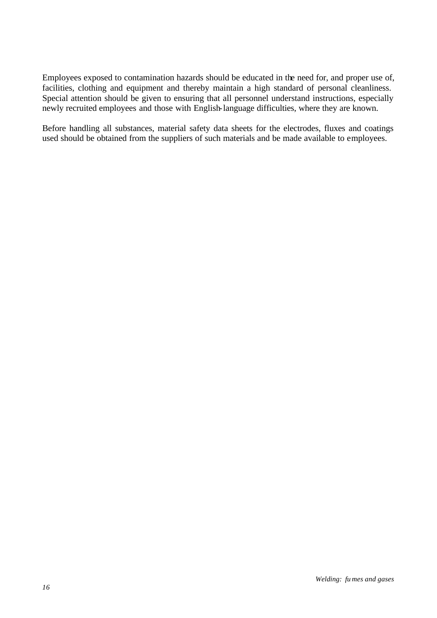Employees exposed to contamination hazards should be educated in the need for, and proper use of, facilities, clothing and equipment and thereby maintain a high standard of personal cleanliness. Special attention should be given to ensuring that all personnel understand instructions, especially newly recruited employees and those with English-language difficulties, where they are known.

Before handling all substances, material safety data sheets for the electrodes, fluxes and coatings used should be obtained from the suppliers of such materials and be made available to employees.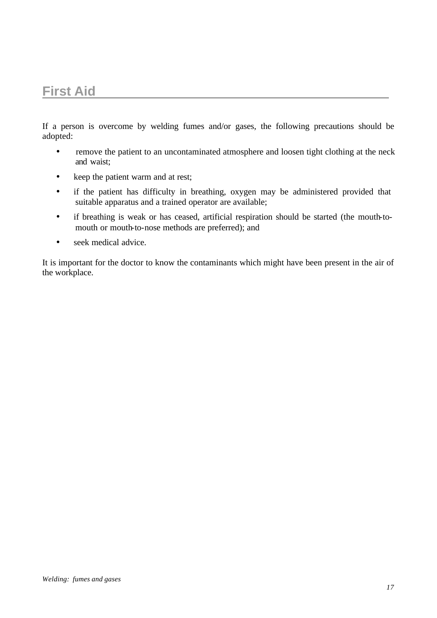# **First Aid**

If a person is overcome by welding fumes and/or gases, the following precautions should be adopted:

- remove the patient to an uncontaminated atmosphere and loosen tight clothing at the neck and waist;
- keep the patient warm and at rest;
- if the patient has difficulty in breathing, oxygen may be administered provided that suitable apparatus and a trained operator are available;
- if breathing is weak or has ceased, artificial respiration should be started (the mouth-tomouth or mouth-to-nose methods are preferred); and
- seek medical advice.

It is important for the doctor to know the contaminants which might have been present in the air of the workplace.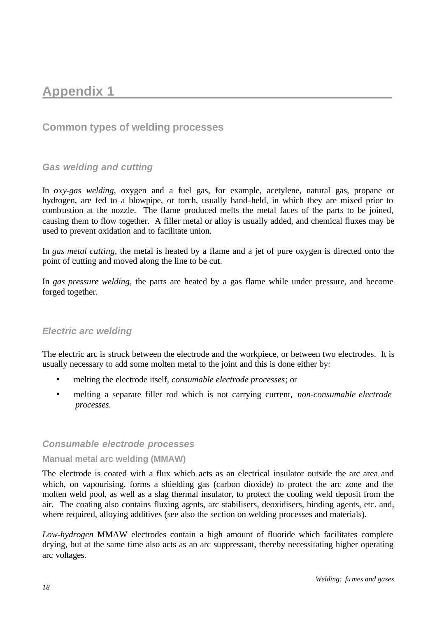# **Appendix 1**

# **Common types of welding processes**

#### *Gas welding and cutting*

In *oxy-gas welding*, oxygen and a fuel gas, for example, acetylene, natural gas, propane or hydrogen, are fed to a blowpipe, or torch, usually hand-held, in which they are mixed prior to combustion at the nozzle. The flame produced melts the metal faces of the parts to be joined, causing them to flow together. A filler metal or alloy is usually added, and chemical fluxes may be used to prevent oxidation and to facilitate union.

In *gas metal cutting*, the metal is heated by a flame and a jet of pure oxygen is directed onto the point of cutting and moved along the line to be cut.

In *gas pressure welding*, the parts are heated by a gas flame while under pressure, and become forged together.

#### *Electric arc welding*

The electric arc is struck between the electrode and the workpiece, or between two electrodes. It is usually necessary to add some molten metal to the joint and this is done either by:

- melting the electrode itself, *consumable electrode processes*; or
- melting a separate filler rod which is not carrying current, *non-consumable electrode processes*.

#### *Consumable electrode processes*

#### **Manual metal arc welding (MMAW)**

The electrode is coated with a flux which acts as an electrical insulator outside the arc area and which, on vapourising, forms a shielding gas (carbon dioxide) to protect the arc zone and the molten weld pool, as well as a slag thermal insulator, to protect the cooling weld deposit from the air. The coating also contains fluxing agents, arc stabilisers, deoxidisers, binding agents, etc. and, where required, alloying additives (see also the section on welding processes and materials).

*Low-hydrogen* MMAW electrodes contain a high amount of fluoride which facilitates complete drying, but at the same time also acts as an arc suppressant, thereby necessitating higher operating arc voltages.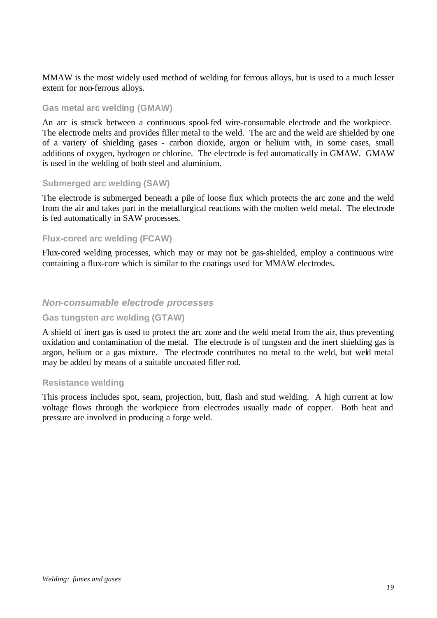MMAW is the most widely used method of welding for ferrous alloys, but is used to a much lesser extent for non-ferrous alloys.

#### **Gas metal arc welding (GMAW)**

An arc is struck between a continuous spool-fed wire-consumable electrode and the workpiece. The electrode melts and provides filler metal to the weld. The arc and the weld are shielded by one of a variety of shielding gases - carbon dioxide, argon or helium with, in some cases, small additions of oxygen, hydrogen or chlorine. The electrode is fed automatically in GMAW. GMAW is used in the welding of both steel and aluminium.

#### **Submerged arc welding (SAW)**

The electrode is submerged beneath a pile of loose flux which protects the arc zone and the weld from the air and takes part in the metallurgical reactions with the molten weld metal. The electrode is fed automatically in SAW processes.

#### **Flux-cored arc welding (FCAW)**

Flux-cored welding processes, which may or may not be gas-shielded, employ a continuous wire containing a flux-core which is similar to the coatings used for MMAW electrodes.

#### *Non-consumable electrode processes*

#### **Gas tungsten arc welding (GTAW)**

A shield of inert gas is used to protect the arc zone and the weld metal from the air, thus preventing oxidation and contamination of the metal. The electrode is of tungsten and the inert shielding gas is argon, helium or a gas mixture. The electrode contributes no metal to the weld, but weld metal may be added by means of a suitable uncoated filler rod.

#### **Resistance welding**

This process includes spot, seam, projection, butt, flash and stud welding. A high current at low voltage flows through the workpiece from electrodes usually made of copper. Both heat and pressure are involved in producing a forge weld.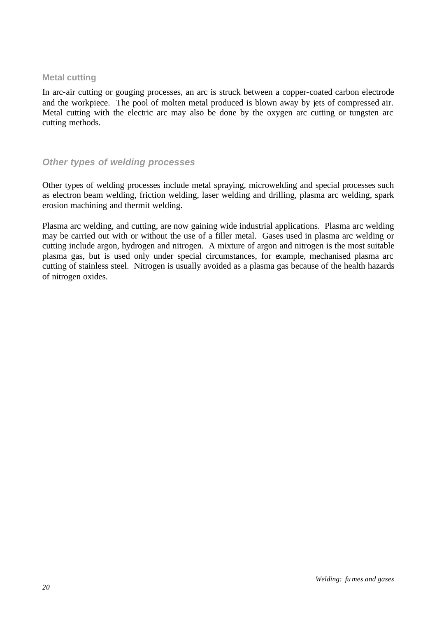#### **Metal cutting**

In arc-air cutting or gouging processes, an arc is struck between a copper-coated carbon electrode and the workpiece. The pool of molten metal produced is blown away by jets of compressed air. Metal cutting with the electric arc may also be done by the oxygen arc cutting or tungsten arc cutting methods.

### *Other types of welding processes*

Other types of welding processes include metal spraying, microwelding and special processes such as electron beam welding, friction welding, laser welding and drilling, plasma arc welding, spark erosion machining and thermit welding.

Plasma arc welding, and cutting, are now gaining wide industrial applications. Plasma arc welding may be carried out with or without the use of a filler metal. Gases used in plasma arc welding or cutting include argon, hydrogen and nitrogen. A mixture of argon and nitrogen is the most suitable plasma gas, but is used only under special circumstances, for example, mechanised plasma arc cutting of stainless steel. Nitrogen is usually avoided as a plasma gas because of the health hazards of nitrogen oxides.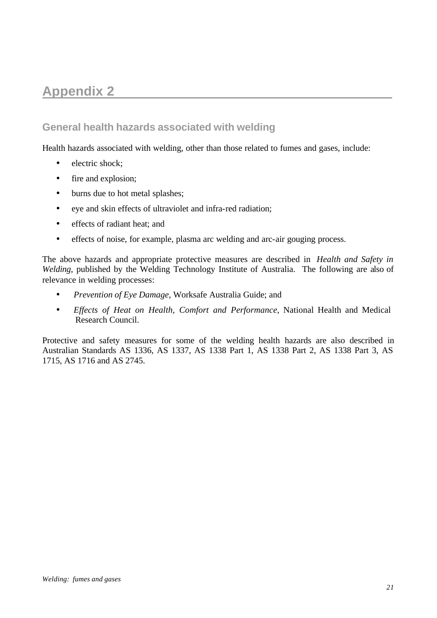# **Appendix 2**

# **General health hazards associated with welding**

Health hazards associated with welding, other than those related to fumes and gases, include:

- electric shock:
- fire and explosion;
- burns due to hot metal splashes;
- eye and skin effects of ultraviolet and infra-red radiation;
- effects of radiant heat; and
- effects of noise, for example, plasma arc welding and arc-air gouging process.

The above hazards and appropriate protective measures are described in *Health and Safety in Welding*, published by the Welding Technology Institute of Australia. The following are also of relevance in welding processes:

- *Prevention of Eye Damage*, Worksafe Australia Guide; and
- *Effects of Heat on Health, Comfort and Performance*, National Health and Medical Research Council.

Protective and safety measures for some of the welding health hazards are also described in Australian Standards AS 1336, AS 1337, AS 1338 Part 1, AS 1338 Part 2, AS 1338 Part 3, AS 1715, AS 1716 and AS 2745.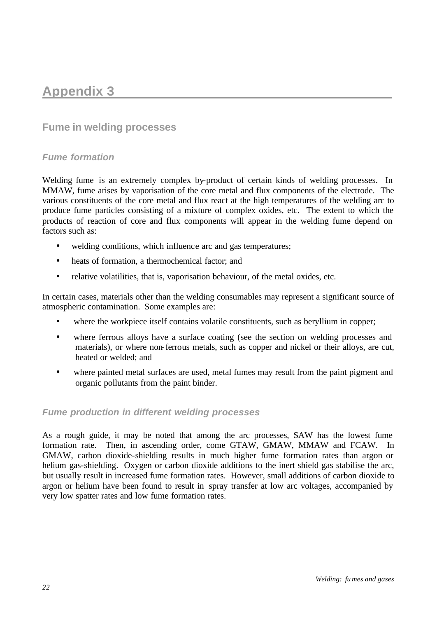# **Appendix 3**

## **Fume in welding processes**

#### *Fume formation*

Welding fume is an extremely complex by-product of certain kinds of welding processes. In MMAW, fume arises by vaporisation of the core metal and flux components of the electrode. The various constituents of the core metal and flux react at the high temperatures of the welding arc to produce fume particles consisting of a mixture of complex oxides, etc. The extent to which the products of reaction of core and flux components will appear in the welding fume depend on factors such as:

- welding conditions, which influence arc and gas temperatures;
- heats of formation, a thermochemical factor; and
- relative volatilities, that is, vaporisation behaviour, of the metal oxides, etc.

In certain cases, materials other than the welding consumables may represent a significant source of atmospheric contamination. Some examples are:

- where the workpiece itself contains volatile constituents, such as beryllium in copper;
- where ferrous alloys have a surface coating (see the section on welding processes and materials), or where non-ferrous metals, such as copper and nickel or their alloys, are cut, heated or welded; and
- where painted metal surfaces are used, metal fumes may result from the paint pigment and organic pollutants from the paint binder.

#### *Fume production in different welding processes*

As a rough guide, it may be noted that among the arc processes, SAW has the lowest fume formation rate. Then, in ascending order, come GTAW, GMAW, MMAW and FCAW. In GMAW, carbon dioxide-shielding results in much higher fume formation rates than argon or helium gas-shielding. Oxygen or carbon dioxide additions to the inert shield gas stabilise the arc, but usually result in increased fume formation rates. However, small additions of carbon dioxide to argon or helium have been found to result in spray transfer at low arc voltages, accompanied by very low spatter rates and low fume formation rates.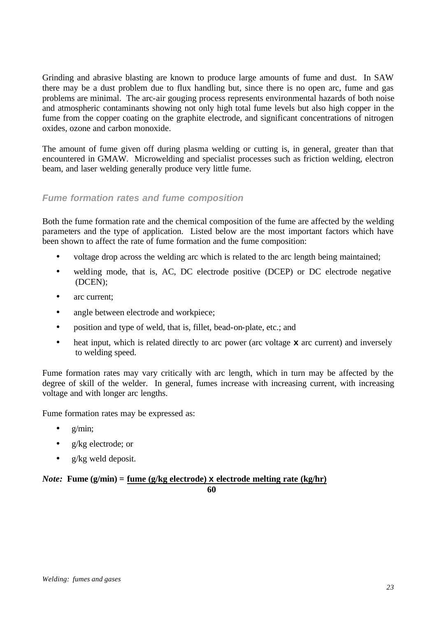Grinding and abrasive blasting are known to produce large amounts of fume and dust. In SAW there may be a dust problem due to flux handling but, since there is no open arc, fume and gas problems are minimal. The arc-air gouging process represents environmental hazards of both noise and atmospheric contaminants showing not only high total fume levels but also high copper in the fume from the copper coating on the graphite electrode, and significant concentrations of nitrogen oxides, ozone and carbon monoxide.

The amount of fume given off during plasma welding or cutting is, in general, greater than that encountered in GMAW. Microwelding and specialist processes such as friction welding, electron beam, and laser welding generally produce very little fume.

#### *Fume formation rates and fume composition*

Both the fume formation rate and the chemical composition of the fume are affected by the welding parameters and the type of application. Listed below are the most important factors which have been shown to affect the rate of fume formation and the fume composition:

- voltage drop across the welding arc which is related to the arc length being maintained;
- welding mode, that is, AC, DC electrode positive (DCEP) or DC electrode negative (DCEN);
- arc current:
- angle between electrode and workpiece;
- position and type of weld, that is, fillet, bead-on-plate, etc.; and
- heat input, which is related directly to arc power (arc voltage **x** arc current) and inversely to welding speed.

Fume formation rates may vary critically with arc length, which in turn may be affected by the degree of skill of the welder. In general, fumes increase with increasing current, with increasing voltage and with longer arc lengths.

Fume formation rates may be expressed as:

- g/min;
- g/kg electrode; or
- g/kg weld deposit.

#### *Note:* **Fume (g/min) = fume (g/kg electrode) x electrode melting rate (kg/hr) 60**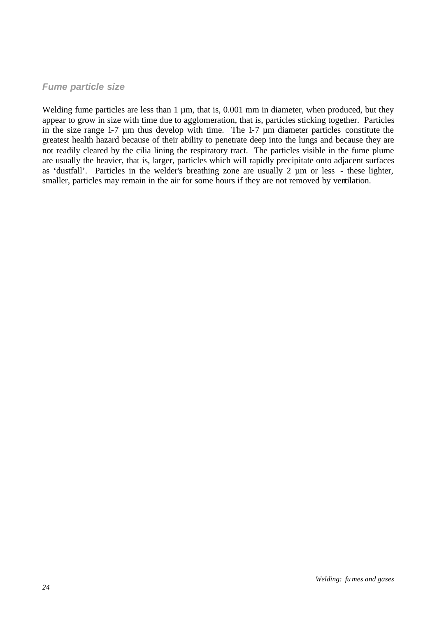#### *Fume particle size*

Welding fume particles are less than  $1 \mu m$ , that is, 0.001 mm in diameter, when produced, but they appear to grow in size with time due to agglomeration, that is, particles sticking together. Particles in the size range 1-7 µm thus develop with time. The 1-7 µm diameter particles constitute the greatest health hazard because of their ability to penetrate deep into the lungs and because they are not readily cleared by the cilia lining the respiratory tract. The particles visible in the fume plume are usually the heavier, that is, larger, particles which will rapidly precipitate onto adjacent surfaces as 'dustfall'. Particles in the welder's breathing zone are usually 2 µm or less - these lighter, smaller, particles may remain in the air for some hours if they are not removed by ventilation.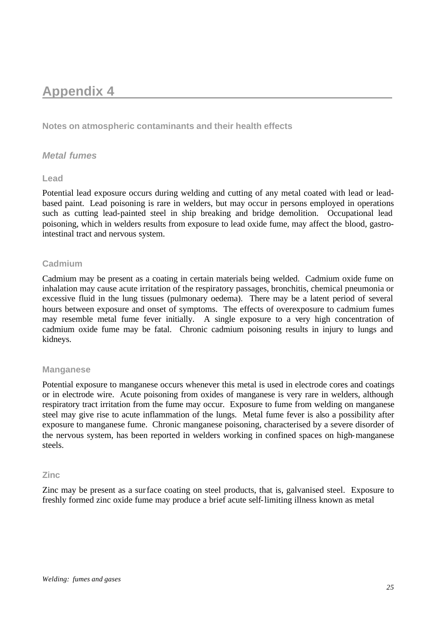# **Appendix 4**

**Notes on atmospheric contaminants and their health effects**

#### *Metal fumes*

#### **Lead**

Potential lead exposure occurs during welding and cutting of any metal coated with lead or leadbased paint. Lead poisoning is rare in welders, but may occur in persons employed in operations such as cutting lead-painted steel in ship breaking and bridge demolition. Occupational lead poisoning, which in welders results from exposure to lead oxide fume, may affect the blood, gastrointestinal tract and nervous system.

#### **Cadmium**

Cadmium may be present as a coating in certain materials being welded. Cadmium oxide fume on inhalation may cause acute irritation of the respiratory passages, bronchitis, chemical pneumonia or excessive fluid in the lung tissues (pulmonary oedema). There may be a latent period of several hours between exposure and onset of symptoms. The effects of overexposure to cadmium fumes may resemble metal fume fever initially. A single exposure to a very high concentration of cadmium oxide fume may be fatal. Chronic cadmium poisoning results in injury to lungs and kidneys.

#### **Manganese**

Potential exposure to manganese occurs whenever this metal is used in electrode cores and coatings or in electrode wire. Acute poisoning from oxides of manganese is very rare in welders, although respiratory tract irritation from the fume may occur. Exposure to fume from welding on manganese steel may give rise to acute inflammation of the lungs. Metal fume fever is also a possibility after exposure to manganese fume. Chronic manganese poisoning, characterised by a severe disorder of the nervous system, has been reported in welders working in confined spaces on high-manganese steels.

#### **Zinc**

Zinc may be present as a surface coating on steel products, that is, galvanised steel. Exposure to freshly formed zinc oxide fume may produce a brief acute self-limiting illness known as metal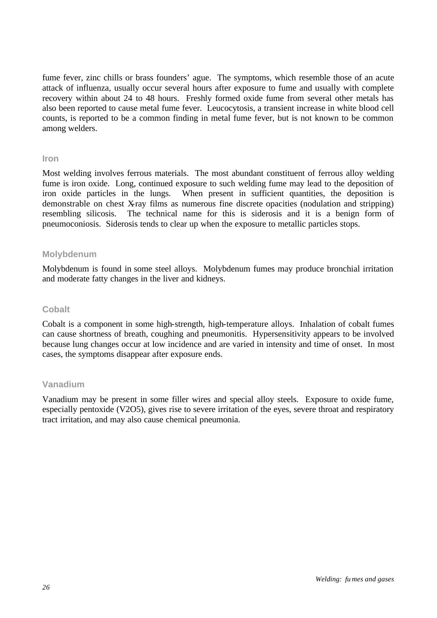fume fever, zinc chills or brass founders' ague. The symptoms, which resemble those of an acute attack of influenza, usually occur several hours after exposure to fume and usually with complete recovery within about 24 to 48 hours. Freshly formed oxide fume from several other metals has also been reported to cause metal fume fever. Leucocytosis, a transient increase in white blood cell counts, is reported to be a common finding in metal fume fever, but is not known to be common among welders.

#### **Iron**

Most welding involves ferrous materials. The most abundant constituent of ferrous alloy welding fume is iron oxide. Long, continued exposure to such welding fume may lead to the deposition of iron oxide particles in the lungs. When present in sufficient quantities, the deposition is demonstrable on chest X-ray films as numerous fine discrete opacities (nodulation and stripping) resembling silicosis. The technical name for this is siderosis and it is a benign form of pneumoconiosis. Siderosis tends to clear up when the exposure to metallic particles stops.

#### **Molybdenum**

Molybdenum is found in some steel alloys. Molybdenum fumes may produce bronchial irritation and moderate fatty changes in the liver and kidneys.

#### **Cobalt**

Cobalt is a component in some high-strength, high-temperature alloys. Inhalation of cobalt fumes can cause shortness of breath, coughing and pneumonitis. Hypersensitivity appears to be involved because lung changes occur at low incidence and are varied in intensity and time of onset. In most cases, the symptoms disappear after exposure ends.

#### **Vanadium**

Vanadium may be present in some filler wires and special alloy steels. Exposure to oxide fume, especially pentoxide (V2O5), gives rise to severe irritation of the eyes, severe throat and respiratory tract irritation, and may also cause chemical pneumonia.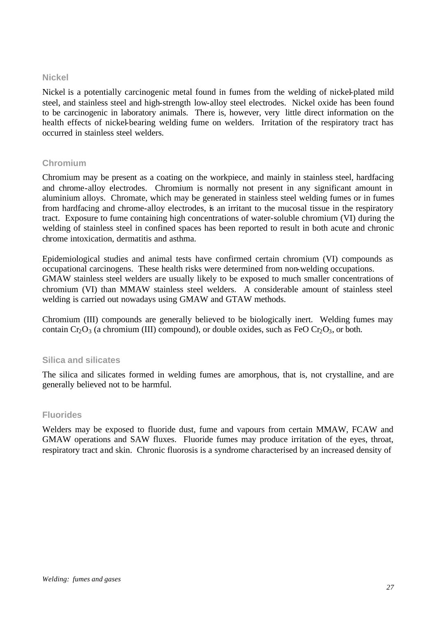#### **Nickel**

Nickel is a potentially carcinogenic metal found in fumes from the welding of nickel-plated mild steel, and stainless steel and high-strength low-alloy steel electrodes. Nickel oxide has been found to be carcinogenic in laboratory animals. There is, however, very little direct information on the health effects of nickel-bearing welding fume on welders. Irritation of the respiratory tract has occurred in stainless steel welders.

#### **Chromium**

Chromium may be present as a coating on the workpiece, and mainly in stainless steel, hardfacing and chrome-alloy electrodes. Chromium is normally not present in any significant amount in aluminium alloys. Chromate, which may be generated in stainless steel welding fumes or in fumes from hardfacing and chrome-alloy electrodes, is an irritant to the mucosal tissue in the respiratory tract. Exposure to fume containing high concentrations of water-soluble chromium (VI) during the welding of stainless steel in confined spaces has been reported to result in both acute and chronic chrome intoxication, dermatitis and asthma.

Epidemiological studies and animal tests have confirmed certain chromium (VI) compounds as occupational carcinogens. These health risks were determined from non-welding occupations. GMAW stainless steel welders are usually likely to be exposed to much smaller concentrations of chromium (VI) than MMAW stainless steel welders. A considerable amount of stainless steel welding is carried out nowadays using GMAW and GTAW methods.

Chromium (III) compounds are generally believed to be biologically inert. Welding fumes may contain  $Cr_2O_3$  (a chromium (III) compound), or double oxides, such as FeO  $Cr_2O_3$ , or both.

#### **Silica and silicates**

The silica and silicates formed in welding fumes are amorphous, that is, not crystalline, and are generally believed not to be harmful.

#### **Fluorides**

Welders may be exposed to fluoride dust, fume and vapours from certain MMAW, FCAW and GMAW operations and SAW fluxes. Fluoride fumes may produce irritation of the eyes, throat, respiratory tract and skin. Chronic fluorosis is a syndrome characterised by an increased density of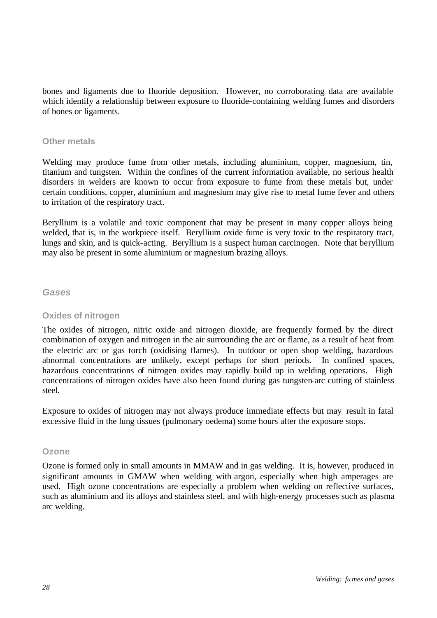bones and ligaments due to fluoride deposition. However, no corroborating data are available which identify a relationship between exposure to fluoride-containing welding fumes and disorders of bones or ligaments.

#### **Other metals**

Welding may produce fume from other metals, including aluminium, copper, magnesium, tin, titanium and tungsten. Within the confines of the current information available, no serious health disorders in welders are known to occur from exposure to fume from these metals but, under certain conditions, copper, aluminium and magnesium may give rise to metal fume fever and others to irritation of the respiratory tract.

Beryllium is a volatile and toxic component that may be present in many copper alloys being welded, that is, in the workpiece itself. Beryllium oxide fume is very toxic to the respiratory tract, lungs and skin, and is quick-acting. Beryllium is a suspect human carcinogen. Note that beryllium may also be present in some aluminium or magnesium brazing alloys.

#### *Gases*

#### **Oxides of nitrogen**

The oxides of nitrogen, nitric oxide and nitrogen dioxide, are frequently formed by the direct combination of oxygen and nitrogen in the air surrounding the arc or flame, as a result of heat from the electric arc or gas torch (oxidising flames). In outdoor or open shop welding, hazardous abnormal concentrations are unlikely, except perhaps for short periods. In confined spaces, hazardous concentrations of nitrogen oxides may rapidly build up in welding operations. High concentrations of nitrogen oxides have also been found during gas tungsten-arc cutting of stainless steel.

Exposure to oxides of nitrogen may not always produce immediate effects but may result in fatal excessive fluid in the lung tissues (pulmonary oedema) some hours after the exposure stops.

#### **Ozone**

Ozone is formed only in small amounts in MMAW and in gas welding. It is, however, produced in significant amounts in GMAW when welding with argon, especially when high amperages are used. High ozone concentrations are especially a problem when welding on reflective surfaces, such as aluminium and its alloys and stainless steel, and with high-energy processes such as plasma arc welding.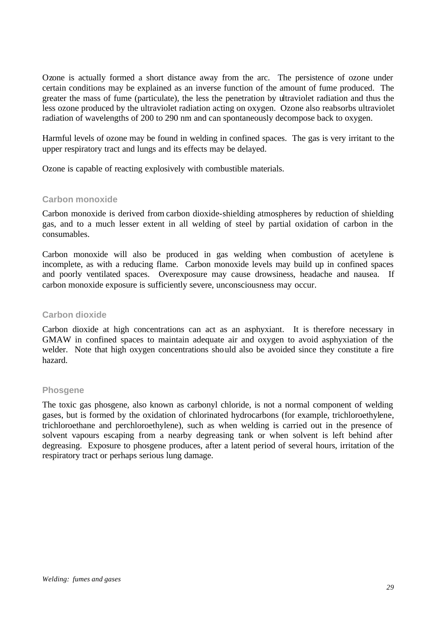Ozone is actually formed a short distance away from the arc. The persistence of ozone under certain conditions may be explained as an inverse function of the amount of fume produced. The greater the mass of fume (particulate), the less the penetration by ultraviolet radiation and thus the less ozone produced by the ultraviolet radiation acting on oxygen. Ozone also reabsorbs ultraviolet radiation of wavelengths of 200 to 290 nm and can spontaneously decompose back to oxygen.

Harmful levels of ozone may be found in welding in confined spaces. The gas is very irritant to the upper respiratory tract and lungs and its effects may be delayed.

Ozone is capable of reacting explosively with combustible materials.

#### **Carbon monoxide**

Carbon monoxide is derived from carbon dioxide-shielding atmospheres by reduction of shielding gas, and to a much lesser extent in all welding of steel by partial oxidation of carbon in the consumables.

Carbon monoxide will also be produced in gas welding when combustion of acetylene is incomplete, as with a reducing flame. Carbon monoxide levels may build up in confined spaces and poorly ventilated spaces. Overexposure may cause drowsiness, headache and nausea. If carbon monoxide exposure is sufficiently severe, unconsciousness may occur.

#### **Carbon dioxide**

Carbon dioxide at high concentrations can act as an asphyxiant. It is therefore necessary in GMAW in confined spaces to maintain adequate air and oxygen to avoid asphyxiation of the welder. Note that high oxygen concentrations should also be avoided since they constitute a fire hazard.

#### **Phosgene**

The toxic gas phosgene, also known as carbonyl chloride, is not a normal component of welding gases, but is formed by the oxidation of chlorinated hydrocarbons (for example, trichloroethylene, trichloroethane and perchloroethylene), such as when welding is carried out in the presence of solvent vapours escaping from a nearby degreasing tank or when solvent is left behind after degreasing. Exposure to phosgene produces, after a latent period of several hours, irritation of the respiratory tract or perhaps serious lung damage.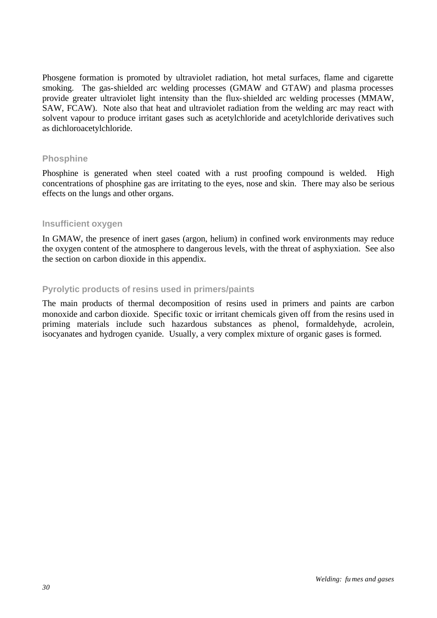Phosgene formation is promoted by ultraviolet radiation, hot metal surfaces, flame and cigarette smoking. The gas-shielded arc welding processes (GMAW and GTAW) and plasma processes provide greater ultraviolet light intensity than the flux-shielded arc welding processes (MMAW, SAW, FCAW). Note also that heat and ultraviolet radiation from the welding arc may react with solvent vapour to produce irritant gases such as acetylchloride and acetylchloride derivatives such as dichloroacetylchloride.

#### **Phosphine**

Phosphine is generated when steel coated with a rust proofing compound is welded. High concentrations of phosphine gas are irritating to the eyes, nose and skin. There may also be serious effects on the lungs and other organs.

#### **Insufficient oxygen**

In GMAW, the presence of inert gases (argon, helium) in confined work environments may reduce the oxygen content of the atmosphere to dangerous levels, with the threat of asphyxiation. See also the section on carbon dioxide in this appendix.

#### **Pyrolytic products of resins used in primers/paints**

The main products of thermal decomposition of resins used in primers and paints are carbon monoxide and carbon dioxide. Specific toxic or irritant chemicals given off from the resins used in priming materials include such hazardous substances as phenol, formaldehyde, acrolein, isocyanates and hydrogen cyanide. Usually, a very complex mixture of organic gases is formed.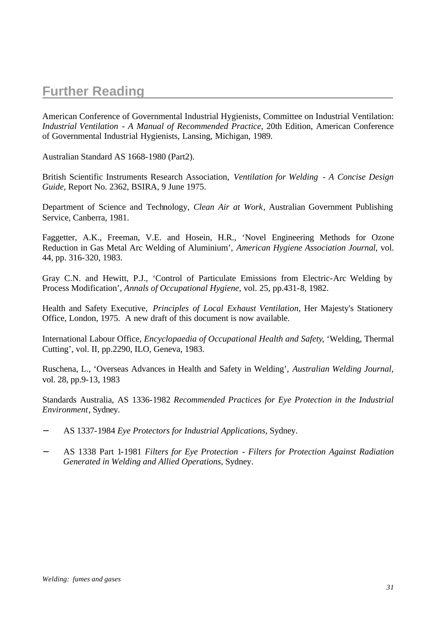# **Further Reading**

American Conference of Governmental Industrial Hygienists, Committee on Industrial Ventilation: *Industrial Ventilation - A Manual of Recommended Practice*, 20th Edition, American Conference of Governmental Industrial Hygienists, Lansing, Michigan, 1989.

Australian Standard AS 1668-1980 (Part2).

British Scientific Instruments Research Association, *Ventilation for Welding - A Concise Design Guide*, Report No. 2362, BSIRA, 9 June 1975.

Department of Science and Technology, *Clean Air at Work*, Australian Government Publishing Service, Canberra, 1981.

Faggetter, A.K., Freeman, V.E. and Hosein, H.R., 'Novel Engineering Methods for Ozone Reduction in Gas Metal Arc Welding of Aluminium', *American Hygiene Association Journal*, vol. 44, pp. 316-320, 1983.

Gray C.N. and Hewitt, P.J., 'Control of Particulate Emissions from Electric-Arc Welding by Process Modification', *Annals of Occupational Hygiene*, vol. 25, pp.431-8, 1982.

Health and Safety Executive, *Principles of Local Exhaust Ventilation*, Her Majesty's Stationery Office, London, 1975. A new draft of this document is now available.

International Labour Office, *Encyclopaedia of Occupational Health and Safety*, 'Welding, Thermal Cutting', vol. II, pp.2290, ILO, Geneva, 1983.

Ruschena, L., 'Overseas Advances in Health and Safety in Welding', *Australian Welding Journal*, vol. 28, pp.9-13, 1983

Standards Australia, AS 1336-1982 *Recommended Practices for Eye Protection in the Industrial Environment*, Sydney.

- − AS 1337-1984 *Eye Protectors for Industrial Applications*, Sydney.
- − AS 1338 Part 1-1981 *Filters for Eye Protection Filters for Protection Against Radiation Generated in Welding and Allied Operations*, Sydney.